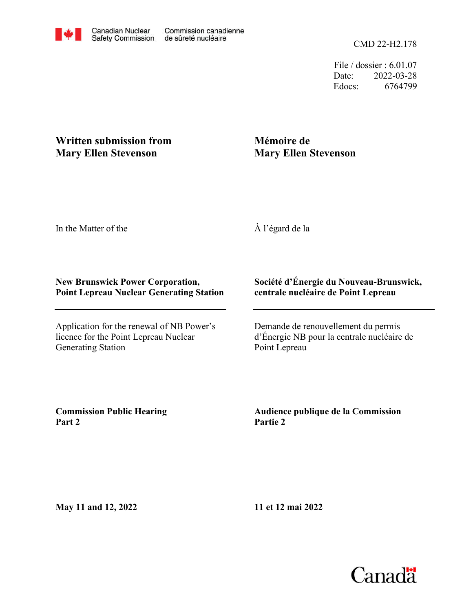File / dossier : 6.01.07 Date: 2022-03-28 Edocs: 6764799

## **Written submission from Mary Ellen Stevenson**

## **Mémoire de Mary Ellen Stevenson**

In the Matter of the

À l'égard de la

## **New Brunswick Power Corporation, Point Lepreau Nuclear Generating Station**

Application for the renewal of NB Power's licence for the Point Lepreau Nuclear Generating Station

## **Société d'Énergie du Nouveau-Brunswick, centrale nucléaire de Point Lepreau**

Demande de renouvellement du permis d'Énergie NB pour la centrale nucléaire de Point Lepreau

**Commission Public Hearing Part 2**

**Audience publique de la Commission Partie 2**

**May 11 and 12, 2022**

**11 et 12 mai 2022**